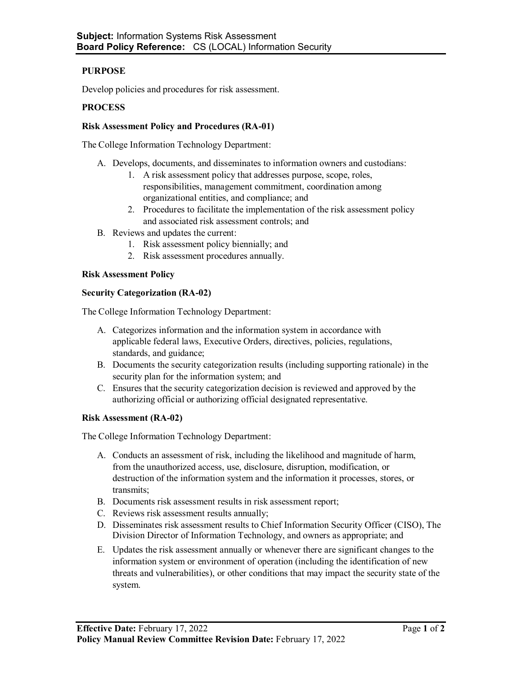# **PURPOSE**

Develop policies and procedures for risk assessment.

## **PROCESS**

## **Risk Assessment Policy and Procedures (RA-01)**

The College Information Technology Department:

- A. Develops, documents, and disseminates to information owners and custodians:
	- 1. A risk assessment policy that addresses purpose, scope, roles, responsibilities, management commitment, coordination among organizational entities, and compliance; and
	- 2. Procedures to facilitate the implementation of the risk assessment policy and associated risk assessment controls; and
- B. Reviews and updates the current:
	- 1. Risk assessment policy biennially; and
	- 2. Risk assessment procedures annually.

### **Risk Assessment Policy**

### **Security Categorization (RA-02)**

The College Information Technology Department:

- A. Categorizes information and the information system in accordance with applicable federal laws, Executive Orders, directives, policies, regulations, standards, and guidance;
- B. Documents the security categorization results (including supporting rationale) in the security plan for the information system; and
- C. Ensures that the security categorization decision is reviewed and approved by the authorizing official or authorizing official designated representative.

#### **Risk Assessment (RA-02)**

The College Information Technology Department:

- A. Conducts an assessment of risk, including the likelihood and magnitude of harm, from the unauthorized access, use, disclosure, disruption, modification, or destruction of the information system and the information it processes, stores, or transmits;
- B. Documents risk assessment results in risk assessment report;
- C. Reviews risk assessment results annually;
- D. Disseminates risk assessment results to Chief Information Security Officer (CISO), The Division Director of Information Technology, and owners as appropriate; and
- E. Updates the risk assessment annually or whenever there are significant changes to the information system or environment of operation (including the identification of new threats and vulnerabilities), or other conditions that may impact the security state of the system.